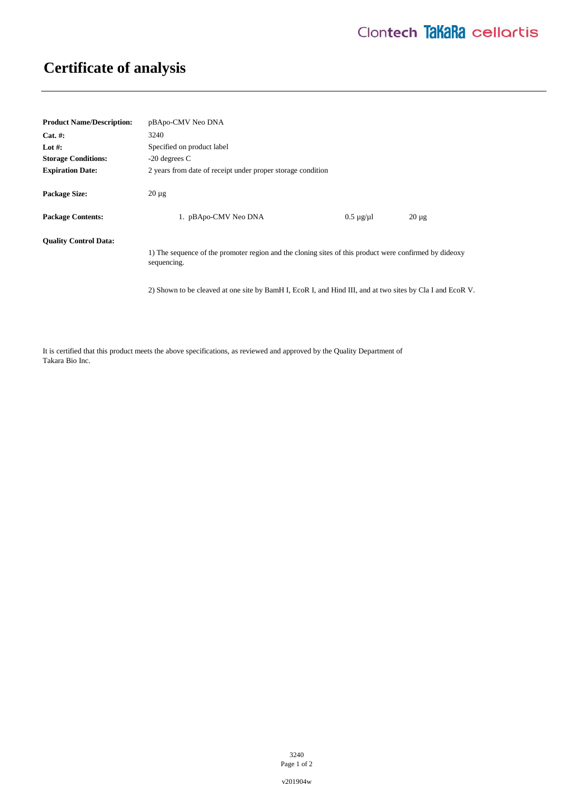## **Certificate of analysis**

| <b>Product Name/Description:</b> | pBApo-CMV Neo DNA                                                                                                     |                      |            |
|----------------------------------|-----------------------------------------------------------------------------------------------------------------------|----------------------|------------|
| $Cat. \#:$                       | 3240                                                                                                                  |                      |            |
| Lot #:                           | Specified on product label                                                                                            |                      |            |
| <b>Storage Conditions:</b>       | $-20$ degrees C                                                                                                       |                      |            |
| <b>Expiration Date:</b>          | 2 years from date of receipt under proper storage condition                                                           |                      |            |
| <b>Package Size:</b>             | $20 \mu$ g                                                                                                            |                      |            |
| <b>Package Contents:</b>         | 1. pBApo-CMV Neo DNA                                                                                                  | $0.5 \mu$ g/ $\mu$ l | $20 \mu g$ |
| <b>Ouality Control Data:</b>     | 1) The sequence of the promoter region and the cloning sites of this product were confirmed by dideoxy<br>sequencing. |                      |            |
|                                  | 2) Shown to be cleaved at one site by BamH I, EcoR I, and Hind III, and at two sites by Cla I and EcoR V.             |                      |            |

It is certified that this product meets the above specifications, as reviewed and approved by the Quality Department of Takara Bio Inc.

> 3240 Page 1 of 2

v201904w